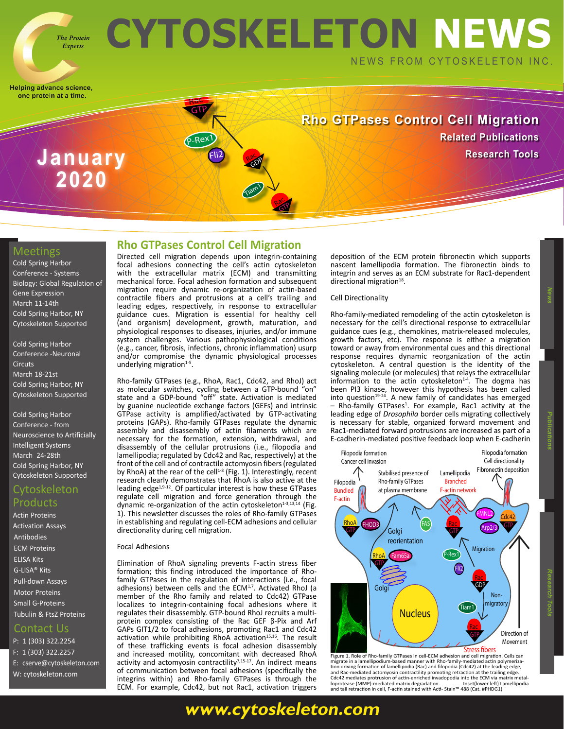### **CYTOSKELETON NEWS The Protein** NEWS FROM CYTOSKELETON INC.

Rac GP

Rac GDP

Tiam1

Helping advance science, one protein at a time.

**Experts** 

**Rho GTPases Control Cell Migration [Related Publications](https://www.cytoskeleton.com/blog/)** *Research Tools* **<b>Research Tools** 

### Meetings

[Cold Spring Harbor](https://meetings.cshl.edu/meetings.aspx?meet=SYSTEMS&year=20)  [Conference - Systems](https://meetings.cshl.edu/meetings.aspx?meet=SYSTEMS&year=20)  [Biology: Global Regulation of](https://meetings.cshl.edu/meetings.aspx?meet=SYSTEMS&year=20)  [Gene Expression](https://meetings.cshl.edu/meetings.aspx?meet=SYSTEMS&year=20) [March 11-14th](https://meetings.cshl.edu/meetings.aspx?meet=SYSTEMS&year=20)  [Cold Spring Harbor, NY](https://meetings.cshl.edu/meetings.aspx?meet=SYSTEMS&year=20) [Cytoskeleton Supported](https://meetings.cshl.edu/meetings.aspx?meet=SYSTEMS&year=20)

**2020**

[Cold Spring Harbor](https://meetings.cshl.edu/meetings.aspx?meet=CIRCUITS&year=20) [Conference -Neuronal](https://meetings.cshl.edu/meetings.aspx?meet=CIRCUITS&year=20)  **[Circuts](https://meetings.cshl.edu/meetings.aspx?meet=CIRCUITS&year=20)** [March 18-21st](https://meetings.cshl.edu/meetings.aspx?meet=CIRCUITS&year=20) [Cold Spring Harbor, NY](https://meetings.cshl.edu/meetings.aspx?meet=CIRCUITS&year=20)  [Cytoskeleton Supported](https://meetings.cshl.edu/meetings.aspx?meet=CIRCUITS&year=20)

[Cold Spring Harbor](https://meetings.cshl.edu/meetings.aspx?meet=NAISYS&year=20)  [Conference - from](https://meetings.cshl.edu/meetings.aspx?meet=NAISYS&year=20)  [Neuroscience to Artificially](https://meetings.cshl.edu/meetings.aspx?meet=NAISYS&year=20)  [Intelligent Systems](https://meetings.cshl.edu/meetings.aspx?meet=NAISYS&year=20) [March 24-28th](https://meetings.cshl.edu/meetings.aspx?meet=NAISYS&year=20)  [Cold Spring Harbor, NY](https://meetings.cshl.edu/meetings.aspx?meet=NAISYS&year=20)  [Cytoskeleton Supported](https://meetings.cshl.edu/meetings.aspx?meet=NAISYS&year=20)

### Cytoskeleton Products

[Actin Proteins](https://www.cytoskeleton.com/actin-resources) [Activation Assays](http://www.cytoskeleton.com/BK038) [Antibodies](https://www.cytoskeleton.com/antibodies) [ECM Proteins](https://www.cytoskeleton.com/ecm) [ELISA Kits](https://www.cytoskeleton.com/bk150) [G-LISA® Kits](https://www.cytoskeleton.com/kits/glisa-assays) [Pull-down Assays](https://www.cytoskeleton.com/kits/pulldown-assays) [Motor Proteins](https://www.cytoskeleton.com/motor-proteins) [Small G-Proteins](https://www.cytoskeleton.com/small-g-proteins) [Tubulin & FtsZ Proteins](https://www.cytoskeleton.com/tubulins)

### Contact Us

P: 1 (303) 322.2254 F: 1 (303) 322.2257 E: [cserve@cytoskeleton.com](mailto:cserve%40cytoskeleton.com?subject=Newsletter%20Email) W: [cytoskeleton.com](http://cytoskeleton.com)

### **Rho GTPases Control Cell Migration**

Fli2

Rac GTP

P-Rex<sup>1</sup>

Directed cell migration depends upon integrin-containing focal adhesions connecting the cell's actin cytoskeleton with the extracellular matrix (ECM) and transmitting mechanical force. Focal adhesion formation and subsequent migration require dynamic re-organization of actin-based contractile fibers and protrusions at a cell's trailing and leading edges, respectively, in response to extracellular guidance cues. Migration is essential for healthy cell (and organism) development, growth, maturation, and physiological responses to diseases, injuries, and/or immune system challenges. Various pathophysiological conditions (e.g., cancer, fibrosis, infections, chronic inflammation) usurp and/or compromise the dynamic physiological processes underlying migration<sup>1-5</sup>.

Rho-family GTPases (e.g., RhoA, Rac1, Cdc42, and RhoJ) act as molecular switches, cycling between a GTP-bound "on" state and a GDP-bound "off" state. Activation is mediated by guanine nucleotide exchange factors (GEFs) and intrinsic GTPase activity is amplified/activated by GTP-activating proteins (GAPs). Rho-family GTPases regulate the dynamic assembly and disassembly of actin filaments which are necessary for the formation, extension, withdrawal, and disassembly of the cellular protrusions (i.e., filopodia and lamellipodia; regulated by Cdc42 and Rac, respectively) at the front of the cell and of contractile actomyosin fibers (regulated by RhoA) at the rear of the cell<sup>1-8</sup> (Fig. 1). Interestingly, recent research clearly demonstrates that RhoA is also active at the leading edge<sup>1,9-12</sup>. Of particular interest is how these GTPases regulate cell migration and force generation through the dynamic re-organization of the actin cytoskeleton $1-3,13,14$  (Fig. 1). This newsletter discusses the roles of Rho-family GTPases in establishing and regulating cell-ECM adhesions and cellular directionality during cell migration.

### Focal Adhesions

Elimination of RhoA signaling prevents F-actin stress fiber formation; this finding introduced the importance of Rhofamily GTPases in the regulation of interactions (i.e., focal adhesions) between cells and the ECM<sup>1,7</sup>. Activated RhoJ (a member of the Rho family and related to Cdc42) GTPase localizes to integrin-containing focal adhesions where it regulates their disassembly. GTP-bound RhoJ recruits a multiprotein complex consisting of the Rac GEF β-Pix and Arf GAPs GIT1/2 to focal adhesions, promoting Rac1 and Cdc42 activation while prohibiting RhoA activation<sup>15,16</sup>. The result of these trafficking events is focal adhesion disassembly and increased motility, concomitant with decreased RhoA activity and actomyosin contractility<sup>7,15-17</sup>. An indirect means of communication between focal adhesions (specifically the integrins within) and Rho-family GTPases is through the ECM. For example, Cdc42, but not Rac1, activation triggers deposition of the ECM protein fibronectin which supports nascent lamellipodia formation. The fibronectin binds to integrin and serves as an ECM substrate for Rac1-dependent directional migration<sup>18</sup>.

#### Cell Directionality

Rho-family-mediated remodeling of the actin cytoskeleton is necessary for the cell's directional response to extracellular guidance cues (e.g., chemokines, matrix-released molecules, growth factors, etc). The response is either a migration toward or away from environmental cues and this directional response requires dynamic reorganization of the actin cytoskeleton. A central question is the identity of the signaling molecule (or molecules) that relays the extracellular information to the actin cytoskeleton $14$ . The dogma has been PI3 kinase, however this hypothesis has been called into question<sup>19-24</sup>. A new family of candidates has emerged - Rho-family GTPases<sup>1</sup>. For example, Rac1 activity at the leading edge of *Drosophila* border cells migrating collectively is necessary for stable, organized forward movement and Rac1-mediated forward protrusions are increased as part of a E-cadherin-mediated positive feedback loop when E-cadherin



 **News Publications**

Figure 1. Role of Rho-family GTPases in cell-ECM adhesion and cell migration. Cells can migrate in a lamellipodium-based manner with Rho-family-mediated actin polymerization driving formation of lamellipodia (Rac) and filopodia (Cdc42) at the leading edge,<br>and Rac-mediated actomyosin contractility promoting retraction at the trailing edge.<br>Cdc42 mediates protrusion of actin-enriched invad loprotease (MMP)-mediated matrix degradation. Inset(lower left) Lamellipodia and tail retraction in cell, F-actin stained with Acti- Stain™ 488 (Cat. #PHDG1)